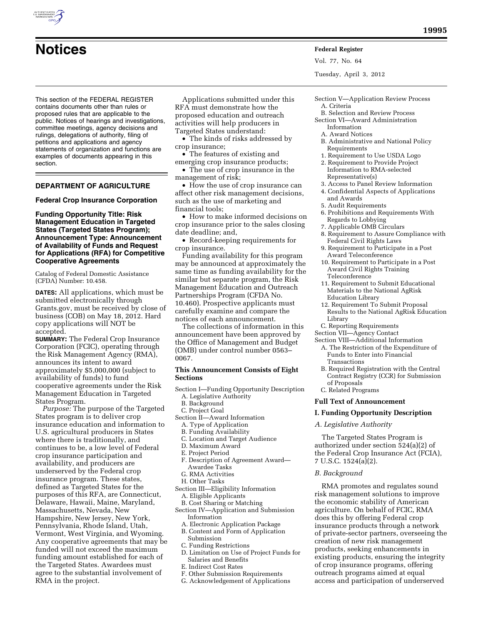

# **Notices Federal Register**

Vol. 77, No. 64

Tuesday, April 3, 2012

This section of the FEDERAL REGISTER contains documents other than rules or proposed rules that are applicable to the public. Notices of hearings and investigations, committee meetings, agency decisions and rulings, delegations of authority, filing of petitions and applications and agency statements of organization and functions are examples of documents appearing in this section.

# **DEPARTMENT OF AGRICULTURE**

**Federal Crop Insurance Corporation** 

# **Funding Opportunity Title: Risk Management Education in Targeted States (Targeted States Program); Announcement Type: Announcement of Availability of Funds and Request for Applications (RFA) for Competitive Cooperative Agreements**

Catalog of Federal Domestic Assistance (CFDA) Number: 10.458.

**DATES:** All applications, which must be submitted electronically through Grants.gov, must be received by close of business (COB) on May 18, 2012. Hard copy applications will NOT be accepted.

**SUMMARY:** The Federal Crop Insurance Corporation (FCIC), operating through the Risk Management Agency (RMA), announces its intent to award approximately \$5,000,000 (subject to availability of funds) to fund cooperative agreements under the Risk Management Education in Targeted States Program.

*Purpose:* The purpose of the Targeted States program is to deliver crop insurance education and information to U.S. agricultural producers in States where there is traditionally, and continues to be, a low level of Federal crop insurance participation and availability, and producers are underserved by the Federal crop insurance program. These states, defined as Targeted States for the purposes of this RFA, are Connecticut, Delaware, Hawaii, Maine, Maryland, Massachusetts, Nevada, New Hampshire, New Jersey, New York, Pennsylvania, Rhode Island, Utah, Vermont, West Virginia, and Wyoming. Any cooperative agreements that may be funded will not exceed the maximum funding amount established for each of the Targeted States. Awardees must agree to the substantial involvement of RMA in the project.

Applications submitted under this RFA must demonstrate how the proposed education and outreach activities will help producers in Targeted States understand:

• The kinds of risks addressed by crop insurance;

- The features of existing and emerging crop insurance products;
- The use of crop insurance in the management of risk;

• How the use of crop insurance can affect other risk management decisions, such as the use of marketing and financial tools;

• How to make informed decisions on crop insurance prior to the sales closing date deadline; and,

• Record-keeping requirements for crop insurance.

Funding availability for this program may be announced at approximately the same time as funding availability for the similar but separate program, the Risk Management Education and Outreach Partnerships Program (CFDA No. 10.460). Prospective applicants must carefully examine and compare the notices of each announcement.

The collections of information in this announcement have been approved by the Office of Management and Budget (OMB) under control number 0563– 0067.

#### **This Announcement Consists of Eight Sections**

- Section I—Funding Opportunity Description A. Legislative Authority
	- B. Background
	- C. Project Goal
- Section II—Award Information
	- A. Type of Application
	- B. Funding Availability
	- C. Location and Target Audience
	- D. Maximum Award
	- E. Project Period
	- F. Description of Agreement Award— Awardee Tasks
	- G. RMA Activities
- H. Other Tasks
- Section III—Eligibility Information A. Eligible Applicants
	- B. Cost Sharing or Matching
- Section IV—Application and Submission Information
- A. Electronic Application Package
- B. Content and Form of Application Submission
- C. Funding Restrictions
- D. Limitation on Use of Project Funds for Salaries and Benefits
- E. Indirect Cost Rates
- F. Other Submission Requirements
- G. Acknowledgement of Applications
- Section V—Application Review Process A. Criteria
	- B. Selection and Review Process
- Section VI—Award Administration Information
	- A. Award Notices
- B. Administrative and National Policy Requirements
- 1. Requirement to Use USDA Logo
- 2. Requirement to Provide Project Information to RMA-selected Representative(s)
- 3. Access to Panel Review Information
	- 4. Confidential Aspects of Applications
	- and Awards
	- 5. Audit Requirements
	- 6. Prohibitions and Requirements With Regards to Lobbying
	- 7. Applicable OMB Circulars
	- 8. Requirement to Assure Compliance with Federal Civil Rights Laws
	- 9. Requirement to Participate in a Post Award Teleconference
	- 10. Requirement to Participate in a Post Award Civil Rights Training Teleconference
	- 11. Requirement to Submit Educational Materials to the National AgRisk Education Library
- 12. Requirement To Submit Proposal Results to the National AgRisk Education Library
- C. Reporting Requirements
- Section VII—Agency Contact
- Section VIII—Additional Information
- A. The Restriction of the Expenditure of Funds to Enter into Financial Transactions
- B. Required Registration with the Central Contract Registry (CCR) for Submission of Proposals
- C. Related Programs

# **Full Text of Announcement**

# **I. Funding Opportunity Description**

#### *A. Legislative Authority*

The Targeted States Program is authorized under section 524(a)(2) of the Federal Crop Insurance Act (FCIA), 7 U.S.C. 1524(a)(2).

#### *B. Background*

RMA promotes and regulates sound risk management solutions to improve the economic stability of American agriculture. On behalf of FCIC, RMA does this by offering Federal crop insurance products through a network of private-sector partners, overseeing the creation of new risk management products, seeking enhancements in existing products, ensuring the integrity of crop insurance programs, offering outreach programs aimed at equal access and participation of underserved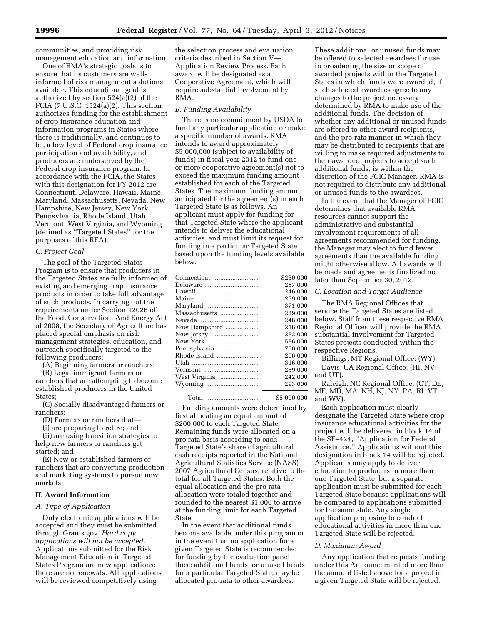communities, and providing risk management education and information.

One of RMA's strategic goals is to ensure that its customers are wellinformed of risk management solutions available. This educational goal is authorized by section 524(a)(2) of the FCIA (7 U.S.C.  $1524(a)(2)$ . This section authorizes funding for the establishment of crop insurance education and information programs in States where there is traditionally, and continues to be, a low level of Federal crop insurance participation and availability, and producers are underserved by the Federal crop insurance program. In accordance with the FCIA, the States with this designation for FY 2012 are Connecticut, Delaware, Hawaii, Maine, Maryland, Massachusetts, Nevada, New Hampshire, New Jersey, New York, Pennsylvania, Rhode Island, Utah, Vermont, West Virginia, and Wyoming (defined as ''Targeted States'' for the purposes of this RFA).

# *C. Project Goal*

The goal of the Targeted States Program is to ensure that producers in the Targeted States are fully informed of existing and emerging crop insurance products in order to take full advantage of such products. In carrying out the requirements under Section 12026 of the Food, Conservation, And Energy Act of 2008, the Secretary of Agriculture has placed special emphasis on risk management strategies, education, and outreach specifically targeted to the following producers:

(A) Beginning farmers or ranchers;

(B) Legal immigrant farmers or ranchers that are attempting to become established producers in the United States;

(C) Socially disadvantaged farmers or ranchers;

- (D) Farmers or ranchers that—
- (i) are preparing to retire; and

(ii) are using transition strategies to help new farmers or ranchers get started; and

(E) New or established farmers or ranchers that are converting production and marketing systems to pursue new markets.

# **II. Award Information**

# *A. Type of Application*

Only electronic applications will be accepted and they must be submitted through Grants.gov. *Hard copy applications will not be accepted.*  Applications submitted for the Risk Management Education in Targeted States Program are new applications: there are no renewals. All applications will be reviewed competitively using

the selection process and evaluation criteria described in Section V— Application Review Process. Each award will be designated as a Cooperative Agreement, which will require substantial involvement by RMA.

# *B. Funding Availability*

There is no commitment by USDA to fund any particular application or make a specific number of awards. RMA intends to award approximately \$5,000,000 (subject to availability of funds) in fiscal year 2012 to fund one or more cooperative agreement(s) not to exceed the maximum funding amount established for each of the Targeted States. The maximum funding amount anticipated for the agreement(s) in each Targeted State is as follows. An applicant must apply for funding for that Targeted State where the applicant intends to deliver the educational activities, and must limit its request for funding in a particular Targeted State based upon the funding levels available below.

| Connecticut   | \$250,000 |
|---------------|-----------|
| Delaware      | 287.000   |
|               | 246.000   |
| Maine         | 259,000   |
| Maryland      | 371.000   |
| Massachusetts | 239.000   |
| Nevada        | 248.000   |
| New Hampshire | 216.000   |
| New Jersey    | 282.000   |
| New York      | 586.000   |
| Pennsylvania  | 700.000   |
| Rhode Island  | 206,000   |
|               | 316,000   |
| Vermont       | 259.000   |
| West Virginia | 242.000   |
|               | 293.000   |
|               |           |

Funding amounts were determined by first allocating an equal amount of \$200,000 to each Targeted State. Remaining funds were allocated on a pro rata basis according to each Targeted State's share of agricultural cash receipts reported in the National Agricultural Statistics Service (NASS) 2007 Agricultural Census, relative to the total for all Targeted States. Both the equal allocation and the pro rata allocation were totaled together and rounded to the nearest \$1,000 to arrive at the funding limit for each Targeted State.

Total .............................. \$5,000,000

In the event that additional funds become available under this program or in the event that no application for a given Targeted State is recommended for funding by the evaluation panel, these additional funds, or unused funds for a particular Targeted State, may be allocated pro-rata to other awardees.

These additional or unused funds may be offered to selected awardees for use in broadening the size or scope of awarded projects within the Targeted States in which funds were awarded, if such selected awardees agree to any changes to the project necessary determined by RMA to make use of the additional funds. The decision of whether any additional or unused funds are offered to other award recipients, and the pro-rata manner in which they may be distributed to recipients that are willing to make required adjustments to their awarded projects to accept such additional funds, is within the discretion of the FCIC Manager. RMA is not required to distribute any additional or unused funds to the awardees.

In the event that the Manager of FCIC determines that available RMA resources cannot support the administrative and substantial involvement requirements of all agreements recommended for funding, the Manager may elect to fund fewer agreements than the available funding might otherwise allow. All awards will be made and agreements finalized no later than September 30, 2012.

# *C. Location and Target Audience*

The RMA Regional Offices that service the Targeted States are listed below. Staff from these respective RMA Regional Offices will provide the RMA substantial involvement for Targeted States projects conducted within the respective Regions.

Billings, MT Regional Office: (WY). Davis, CA Regional Office: (HI, NV and UT).

Raleigh, NC Regional Office: (CT, DE, ME, MD, MA, NH, NJ, NY, PA, RI, VT and WV).

Each application must clearly designate the Targeted State where crop insurance educational activities for the project will be delivered in block 14 of the SF–424, ''Application for Federal Assistance.'' Applications without this designation in block 14 will be rejected. Applicants may apply to deliver education to producers in more than one Targeted State, but a separate application must be submitted for each Targeted State because applications will be compared to applications submitted for the same state. Any single application proposing to conduct educational activities in more than one Targeted State will be rejected.

#### *D. Maximum Award*

Any application that requests funding under this Announcement of more than the amount listed above for a project in a given Targeted State will be rejected.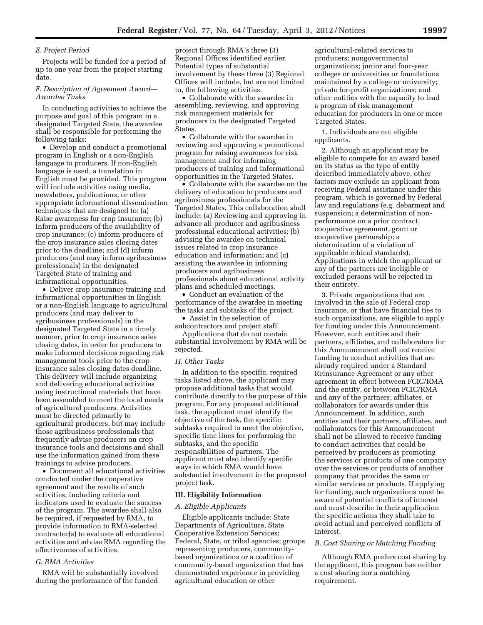#### *E. Project Period*

Projects will be funded for a period of up to one year from the project starting date.

# *F. Description of Agreement Award— Awardee Tasks*

In conducting activities to achieve the purpose and goal of this program in a designated Targeted State, the awardee shall be responsible for performing the following tasks:

• Develop and conduct a promotional program in English or a non-English language to producers. If non-English language is used, a translation in English must be provided. This program will include activities using media, newsletters, publications, or other appropriate informational dissemination techniques that are designed to: (a) Raise awareness for crop insurance; (b) inform producers of the availability of crop insurance; (c) inform producers of the crop insurance sales closing dates prior to the deadline; and (d) inform producers (and may inform agribusiness professionals) in the designated Targeted State of training and informational opportunities.

• Deliver crop insurance training and informational opportunities in English or a non-English language to agricultural producers (and may deliver to agribusiness professionals) in the designated Targeted State in a timely manner, prior to crop insurance sales closing dates, in order for producers to make informed decisions regarding risk management tools prior to the crop insurance sales closing dates deadline. This delivery will include organizing and delivering educational activities using instructional materials that have been assembled to meet the local needs of agricultural producers. Activities must be directed primarily to agricultural producers, but may include those agribusiness professionals that frequently advise producers on crop insurance tools and decisions and shall use the information gained from these trainings to advise producers.

• Document all educational activities conducted under the cooperative agreement and the results of such activities, including criteria and indicators used to evaluate the success of the program. The awardee shall also be required, if requested by RMA, to provide information to RMA-selected contractor(s) to evaluate all educational activities and advise RMA regarding the effectiveness of activities.

#### *G. RMA Activities*

RMA will be substantially involved during the performance of the funded

project through RMA's three (3) Regional Offices identified earlier. Potential types of substantial involvement by these three (3) Regional Offices will include, but are not limited to, the following activities.

• Collaborate with the awardee in assembling, reviewing, and approving risk management materials for producers in the designated Targeted States.

• Collaborate with the awardee in reviewing and approving a promotional program for raising awareness for risk management and for informing producers of training and informational opportunities in the Targeted States.

• Collaborate with the awardee on the delivery of education to producers and agribusiness professionals for the Targeted States. This collaboration shall include: (a) Reviewing and approving in advance all producer and agribusiness professional educational activities; (b) advising the awardee on technical issues related to crop insurance education and information; and (c) assisting the awardee in informing producers and agribusiness professionals about educational activity plans and scheduled meetings.

• Conduct an evaluation of the performance of the awardee in meeting the tasks and subtasks of the project.

• Assist in the selection of subcontractors and project staff.

Applications that do not contain substantial involvement by RMA will be rejected.

#### *H. Other Tasks*

In addition to the specific, required tasks listed above, the applicant may propose additional tasks that would contribute directly to the purpose of this program. For any proposed additional task, the applicant must identify the objective of the task, the specific subtasks required to meet the objective, specific time lines for performing the subtasks, and the specific responsibilities of partners. The applicant must also identify specific ways in which RMA would have substantial involvement in the proposed project task.

#### **III. Eligibility Information**

#### *A. Eligible Applicants*

Eligible applicants include: State Departments of Agriculture, State Cooperative Extension Services; Federal, State, or tribal agencies; groups representing producers, communitybased organizations or a coalition of community-based organization that has demonstrated experience in providing agricultural education or other

agricultural-related services to producers; nongovernmental organizations; junior and four-year colleges or universities or foundations maintained by a college or university; private for-profit organizations; and other entities with the capacity to lead a program of risk management education for producers in one or more Targeted States.

1. Individuals are not eligible applicants.

2. Although an applicant may be eligible to compete for an award based on its status as the type of entity described immediately above, other factors may exclude an applicant from receiving Federal assistance under this program, which is governed by Federal law and regulations (e.g. debarment and suspension; a determination of nonperformance on a prior contract, cooperative agreement, grant or cooperative partnership; a determination of a violation of applicable ethical standards). Applications in which the applicant or any of the partners are ineligible or excluded persons will be rejected in their entirety.

3. Private organizations that are involved in the sale of Federal crop insurance, or that have financial ties to such organizations, are eligible to apply for funding under this Announcement. However, such entities and their partners, affiliates, and collaborators for this Announcement shall not receive funding to conduct activities that are already required under a Standard Reinsurance Agreement or any other agreement in effect between FCIC/RMA and the entity, or between FCIC/RMA and any of the partners; affiliates, or collaborators for awards under this Announcement. In addition, such entities and their partners, affiliates, and collaborators for this Announcement shall not be allowed to receive funding to conduct activities that could be perceived by producers as promoting the services or products of one company over the services or products of another company that provides the same or similar services or products. If applying for funding, such organizations must be aware of potential conflicts of interest and must describe in their application the specific actions they shall take to avoid actual and perceived conflicts of interest.

# *B. Cost Sharing or Matching Funding*

Although RMA prefers cost sharing by the applicant, this program has neither a cost sharing nor a matching requirement.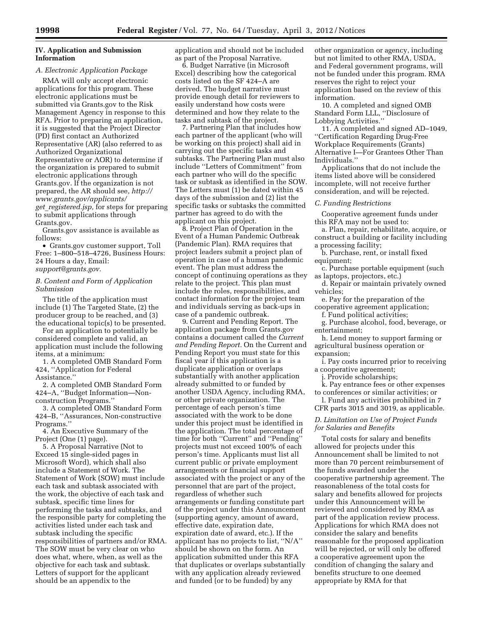# **IV. Application and Submission Information**

# *A. Electronic Application Package*

RMA will only accept electronic applications for this program. These electronic applications must be submitted via Grants.gov to the Risk Management Agency in response to this RFA. Prior to preparing an application, it is suggested that the Project Director (PD) first contact an Authorized Representative (AR) (also referred to as Authorized Organizational Representative or AOR) to determine if the organization is prepared to submit electronic applications through Grants.gov. If the organization is not prepared, the AR should see, *[http://](http://www.grants.gov/applicants/get_registered.jsp) [www.grants.gov/applicants/](http://www.grants.gov/applicants/get_registered.jsp)  get*\_*[registered.jsp,](http://www.grants.gov/applicants/get_registered.jsp)* for steps for preparing to submit applications through Grants.gov.

Grants.gov assistance is available as follows:

• Grants.gov customer support, Toll Free: 1–800–518–4726, Business Hours: 24 Hours a day, Email: *[support@grants.gov.](mailto:support@grants.gov)* 

#### *B. Content and Form of Application Submission*

The title of the application must include (1) The Targeted State, (2) the producer group to be reached, and (3) the educational topic(s) to be presented.

For an application to potentially be considered complete and valid, an application must include the following items, at a minimum:

1. A completed OMB Standard Form 424, ''Application for Federal Assistance.''

2. A completed OMB Standard Form 424–A, ''Budget Information—Nonconstruction Programs.''

3. A completed OMB Standard Form 424–B, ''Assurances, Non-constructive Programs.''

4. An Executive Summary of the Project (One (1) page).

5. A Proposal Narrative (Not to Exceed 15 single-sided pages in Microsoft Word), which shall also include a Statement of Work. The Statement of Work (SOW) must include each task and subtask associated with the work, the objective of each task and subtask, specific time lines for performing the tasks and subtasks, and the responsible party for completing the activities listed under each task and subtask including the specific responsibilities of partners and/or RMA. The SOW must be very clear on who does what, where, when, as well as the objective for each task and subtask. Letters of support for the applicant should be an appendix to the

application and should not be included as part of the Proposal Narrative.

6. Budget Narrative (in Microsoft Excel) describing how the categorical costs listed on the SF 424–A are derived. The budget narrative must provide enough detail for reviewers to easily understand how costs were determined and how they relate to the tasks and subtask of the project.

7. Partnering Plan that includes how each partner of the applicant (who will be working on this project) shall aid in carrying out the specific tasks and subtasks. The Partnering Plan must also include ''Letters of Commitment'' from each partner who will do the specific task or subtask as identified in the SOW. The Letters must (1) be dated within 45 days of the submission and (2) list the specific tasks or subtasks the committed partner has agreed to do with the applicant on this project.

8. Project Plan of Operation in the Event of a Human Pandemic Outbreak (Pandemic Plan). RMA requires that project leaders submit a project plan of operation in case of a human pandemic event. The plan must address the concept of continuing operations as they relate to the project. This plan must include the roles, responsibilities, and contact information for the project team and individuals serving as back-ups in case of a pandemic outbreak.

9. Current and Pending Report. The application package from Grants.gov contains a document called the *Current and Pending Report.* On the Current and Pending Report you must state for this fiscal year if this application is a duplicate application or overlaps substantially with another application already submitted to or funded by another USDA Agency, including RMA, or other private organization. The percentage of each person's time associated with the work to be done under this project must be identified in the application. The total percentage of time for both ''Current'' and ''Pending'' projects must not exceed 100% of each person's time. Applicants must list all current public or private employment arrangements or financial support associated with the project or any of the personnel that are part of the project, regardless of whether such arrangements or funding constitute part of the project under this Announcement (supporting agency, amount of award, effective date, expiration date, expiration date of award, etc.). If the applicant has no projects to list, ''N/A'' should be shown on the form. An application submitted under this RFA that duplicates or overlaps substantially with any application already reviewed and funded (or to be funded) by any

other organization or agency, including but not limited to other RMA, USDA, and Federal government programs, will not be funded under this program. RMA reserves the right to reject your application based on the review of this information.

10. A completed and signed OMB Standard Form LLL, ''Disclosure of Lobbying Activities.''

11. A completed and signed AD–1049, ''Certification Regarding Drug-Free Workplace Requirements (Grants) Alternative I—For Grantees Other Than Individuals.''

Applications that do not include the items listed above will be considered incomplete, will not receive further consideration, and will be rejected.

#### *C. Funding Restrictions*

Cooperative agreement funds under this RFA may not be used to:

a. Plan, repair, rehabilitate, acquire, or construct a building or facility including a processing facility;

b. Purchase, rent, or install fixed equipment;

c. Purchase portable equipment (such as laptops, projectors, etc.)

d. Repair or maintain privately owned vehicles;

e. Pay for the preparation of the cooperative agreement application;

f. Fund political activities;

g. Purchase alcohol, food, beverage, or entertainment;

h. Lend money to support farming or agricultural business operation or expansion;

i. Pay costs incurred prior to receiving a cooperative agreement;

j. Provide scholarships;

k. Pay entrance fees or other expenses to conferences or similar activities; or

l. Fund any activities prohibited in 7 CFR parts 3015 and 3019, as applicable.

# *D. Limitation on Use of Project Funds for Salaries and Benefits*

Total costs for salary and benefits allowed for projects under this Announcement shall be limited to not more than 70 percent reimbursement of the funds awarded under the cooperative partnership agreement. The reasonableness of the total costs for salary and benefits allowed for projects under this Announcement will be reviewed and considered by RMA as part of the application review process. Applications for which RMA does not consider the salary and benefits reasonable for the proposed application will be rejected, or will only be offered a cooperative agreement upon the condition of changing the salary and benefits structure to one deemed appropriate by RMA for that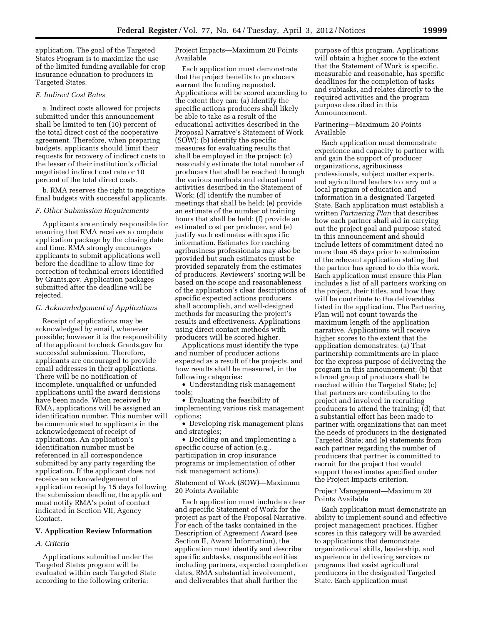application. The goal of the Targeted States Program is to maximize the use of the limited funding available for crop insurance education to producers in Targeted States.

#### *E. Indirect Cost Rates*

a. Indirect costs allowed for projects submitted under this announcement shall be limited to ten (10) percent of the total direct cost of the cooperative agreement. Therefore, when preparing budgets, applicants should limit their requests for recovery of indirect costs to the lesser of their institution's official negotiated indirect cost rate or 10 percent of the total direct costs.

b. RMA reserves the right to negotiate final budgets with successful applicants.

#### *F. Other Submission Requirements*

Applicants are entirely responsible for ensuring that RMA receives a complete application package by the closing date and time. RMA strongly encourages applicants to submit applications well before the deadline to allow time for correction of technical errors identified by Grants.gov. Application packages submitted after the deadline will be rejected.

#### *G. Acknowledgement of Applications*

Receipt of applications may be acknowledged by email, whenever possible; however it is the responsibility of the applicant to check Grants.gov for successful submission. Therefore, applicants are encouraged to provide email addresses in their applications. There will be no notification of incomplete, unqualified or unfunded applications until the award decisions have been made. When received by RMA, applications will be assigned an identification number. This number will be communicated to applicants in the acknowledgement of receipt of applications. An application's identification number must be referenced in all correspondence submitted by any party regarding the application. If the applicant does not receive an acknowledgement of application receipt by 15 days following the submission deadline, the applicant must notify RMA's point of contact indicated in Section VII, Agency Contact.

# **V. Application Review Information**

#### *A. Criteria*

Applications submitted under the Targeted States program will be evaluated within each Targeted State according to the following criteria:

# Project Impacts—Maximum 20 Points Available

Each application must demonstrate that the project benefits to producers warrant the funding requested. Applications will be scored according to the extent they can: (a) Identify the specific actions producers shall likely be able to take as a result of the educational activities described in the Proposal Narrative's Statement of Work (SOW); (b) identify the specific measures for evaluating results that shall be employed in the project; (c) reasonably estimate the total number of producers that shall be reached through the various methods and educational activities described in the Statement of Work; (d) identify the number of meetings that shall be held; (e) provide an estimate of the number of training hours that shall be held; (f) provide an estimated cost per producer, and (e) justify such estimates with specific information. Estimates for reaching agribusiness professionals may also be provided but such estimates must be provided separately from the estimates of producers. Reviewers' scoring will be based on the scope and reasonableness of the application's clear descriptions of specific expected actions producers shall accomplish, and well-designed methods for measuring the project's results and effectiveness. Applications using direct contact methods with producers will be scored higher.

Applications must identify the type and number of producer actions expected as a result of the projects, and how results shall be measured, in the following categories:

• Understanding risk management tools;

• Evaluating the feasibility of implementing various risk management options;

• Developing risk management plans and strategies;

• Deciding on and implementing a specific course of action (e.g., participation in crop insurance programs or implementation of other risk management actions).

Statement of Work (SOW)—Maximum 20 Points Available

Each application must include a clear and specific Statement of Work for the project as part of the Proposal Narrative. For each of the tasks contained in the Description of Agreement Award (see Section II, Award Information), the application must identify and describe specific subtasks, responsible entities including partners, expected completion dates, RMA substantial involvement, and deliverables that shall further the

purpose of this program. Applications will obtain a higher score to the extent that the Statement of Work is specific, measurable and reasonable, has specific deadlines for the completion of tasks and subtasks, and relates directly to the required activities and the program purpose described in this Announcement.

# Partnering—Maximum 20 Points Available

Each application must demonstrate experience and capacity to partner with and gain the support of producer organizations, agribusiness professionals, subject matter experts, and agricultural leaders to carry out a local program of education and information in a designated Targeted State. Each application must establish a written *Partnering Plan* that describes how each partner shall aid in carrying out the project goal and purpose stated in this announcement and should include letters of commitment dated no more than 45 days prior to submission of the relevant application stating that the partner has agreed to do this work. Each application must ensure this Plan includes a list of all partners working on the project, their titles, and how they will be contribute to the deliverables listed in the application. The Partnering Plan will not count towards the maximum length of the application narrative. Applications will receive higher scores to the extent that the application demonstrates: (a) That partnership commitments are in place for the express purpose of delivering the program in this announcement; (b) that a broad group of producers shall be reached within the Targeted State; (c) that partners are contributing to the project and involved in recruiting producers to attend the training; (d) that a substantial effort has been made to partner with organizations that can meet the needs of producers in the designated Targeted State; and (e) statements from each partner regarding the number of producers that partner is committed to recruit for the project that would support the estimates specified under the Project Impacts criterion.

Project Management—Maximum 20 Points Available

Each application must demonstrate an ability to implement sound and effective project management practices. Higher scores in this category will be awarded to applications that demonstrate organizational skills, leadership, and experience in delivering services or programs that assist agricultural producers in the designated Targeted State. Each application must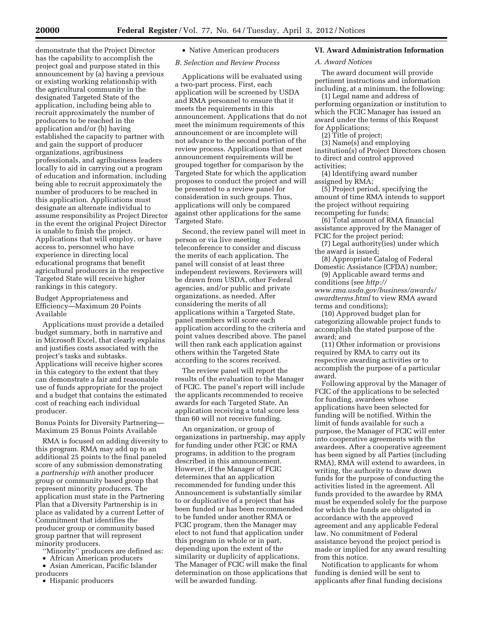demonstrate that the Project Director has the capability to accomplish the project goal and purpose stated in this announcement by (a) having a previous or existing working relationship with the agricultural community in the designated Targeted State of the application, including being able to recruit approximately the number of producers to be reached in the application and/or (b) having established the capacity to partner with and gain the support of producer organizations, agribusiness professionals, and agribusiness leaders locally to aid in carrying out a program of education and information, including being able to recruit approximately the number of producers to be reached in this application. Applications must designate an alternate individual to assume responsibility as Project Director in the event the original Project Director is unable to finish the project. Applications that will employ, or have access to, personnel who have experience in directing local educational programs that benefit agricultural producers in the respective Targeted State will receive higher rankings in this category.

# Budget Appropriateness and Efficiency—Maximum 20 Points Available

Applications must provide a detailed budget summary, both in narrative and in Microsoft Excel, that clearly explains and justifies costs associated with the project's tasks and subtasks. Applications will receive higher scores in this category to the extent that they can demonstrate a fair and reasonable use of funds appropriate for the project and a budget that contains the estimated cost of reaching each individual producer.

Bonus Points for Diversity Partnering— Maximum 25 Bonus Points Available

RMA is focused on adding diversity to this program. RMA may add up to an additional 25 points to the final paneled score of any submission demonstrating a *partnership with* another producer group or community based group that represent minority producers. The application must state in the Partnering Plan that a Diversity Partnership is in place as validated by a current Letter of Commitment that identifies the producer group or community based group partner that will represent minority producers.

''Minority'' producers are defined as:

• African American producers • Asian American, Pacific Islander

producers

• Hispanic producers

# • Native American producers

*B. Selection and Review Process* 

Applications will be evaluated using a two-part process. First, each application will be screened by USDA and RMA personnel to ensure that it meets the requirements in this announcement. Applications that do not meet the minimum requirements of this announcement or are incomplete will not advance to the second portion of the review process. Applications that meet announcement requirements will be grouped together for comparison by the Targeted State for which the application proposes to conduct the project and will be presented to a review panel for consideration in such groups. Thus, applications will only be compared against other applications for the same Targeted State.

Second, the review panel will meet in person or via live meeting teleconference to consider and discuss the merits of each application. The panel will consist of at least three independent reviewers. Reviewers will be drawn from USDA, other Federal agencies, and/or public and private organizations, as needed. After considering the merits of all applications within a Targeted State, panel members will score each application according to the criteria and point values described above. The panel will then rank each application against others within the Targeted State according to the scores received.

The review panel will report the results of the evaluation to the Manager of FCIC. The panel's report will include the applicants recommended to receive awards for each Targeted State. An application receiving a total score less than 60 will not receive funding.

An organization, or group of organizations in partnership, may apply for funding under other FCIC or RMA programs, in addition to the program described in this announcement. However, if the Manager of FCIC determines that an application recommended for funding under this Announcement is substantially similar to or duplicative of a project that has been funded or has been recommended to be funded under another RMA or FCIC program, then the Manager may elect to not fund that application under this program in whole or in part, depending upon the extent of the similarity or duplicity of applications. The Manager of FCIC will make the final determination on those applications that will be awarded funding.

# **VI. Award Administration Information**

*A. Award Notices* 

The award document will provide pertinent instructions and information including, at a minimum, the following:

(1) Legal name and address of performing organization or institution to which the FCIC Manager has issued an award under the terms of this Request for Applications;

(2) Title of project;

(3) Name(s) and employing institution(s) of Project Directors chosen to direct and control approved activities;

(4) Identifying award number assigned by RMA;

(5) Project period, specifying the amount of time RMA intends to support the project without requiring recompeting for funds;

(6) Total amount of RMA financial assistance approved by the Manager of FCIC for the project period;

(7) Legal authority(ies) under which the award is issued;

(8) Appropriate Catalog of Federal Domestic Assistance (CFDA) number;

(9) Applicable award terms and conditions (see *[http://](http://www.rma.usda.gov/business/awards/awardterms.html) [www.rma.usda.gov/business/awards/](http://www.rma.usda.gov/business/awards/awardterms.html) [awardterms.html](http://www.rma.usda.gov/business/awards/awardterms.html)* to view RMA award terms and conditions);

(10) Approved budget plan for categorizing allowable project funds to accomplish the stated purpose of the award; and

(11) Other information or provisions required by RMA to carry out its respective awarding activities or to accomplish the purpose of a particular award.

Following approval by the Manager of FCIC of the applications to be selected for funding, awardees whose applications have been selected for funding will be notified. Within the limit of funds available for such a purpose, the Manager of FCIC will enter into cooperative agreements with the awardees. After a cooperative agreement has been signed by all Parties (including RMA), RMA will extend to awardees, in writing, the authority to draw down funds for the purpose of conducting the activities listed in the agreement. All funds provided to the awardee by RMA must be expended solely for the purpose for which the funds are obligated in accordance with the approved agreement and any applicable Federal law. No commitment of Federal assistance beyond the project period is made or implied for any award resulting from this notice.

Notification to applicants for whom funding is denied will be sent to applicants after final funding decisions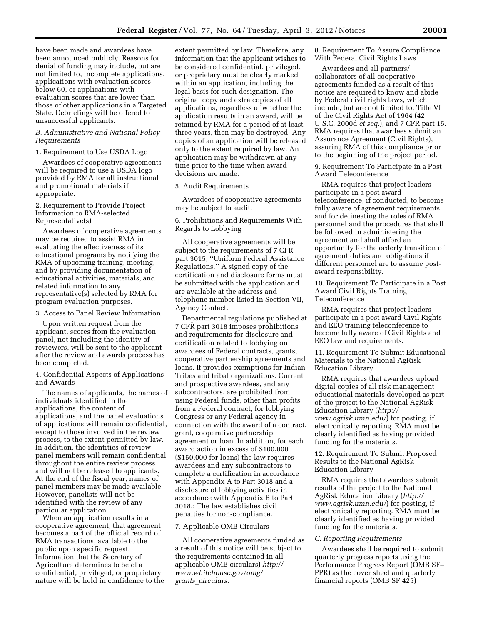have been made and awardees have been announced publicly. Reasons for denial of funding may include, but are not limited to, incomplete applications, applications with evaluation scores below 60, or applications with evaluation scores that are lower than those of other applications in a Targeted State. Debriefings will be offered to unsuccessful applicants.

#### *B. Administrative and National Policy Requirements*

# 1. Requirement to Use USDA Logo

Awardees of cooperative agreements will be required to use a USDA logo provided by RMA for all instructional and promotional materials if appropriate.

2. Requirement to Provide Project Information to RMA-selected Representative(s)

Awardees of cooperative agreements may be required to assist RMA in evaluating the effectiveness of its educational programs by notifying the RMA of upcoming training, meeting, and by providing documentation of educational activities, materials, and related information to any representative(s) selected by RMA for program evaluation purposes.

# 3. Access to Panel Review Information

Upon written request from the applicant, scores from the evaluation panel, not including the identity of reviewers, will be sent to the applicant after the review and awards process has been completed.

4. Confidential Aspects of Applications and Awards

The names of applicants, the names of individuals identified in the applications, the content of applications, and the panel evaluations of applications will remain confidential, except to those involved in the review process, to the extent permitted by law. In addition, the identities of review panel members will remain confidential throughout the entire review process and will not be released to applicants. At the end of the fiscal year, names of panel members may be made available. However, panelists will not be identified with the review of any particular application.

When an application results in a cooperative agreement, that agreement becomes a part of the official record of RMA transactions, available to the public upon specific request. Information that the Secretary of Agriculture determines to be of a confidential, privileged, or proprietary nature will be held in confidence to the

extent permitted by law. Therefore, any information that the applicant wishes to be considered confidential, privileged, or proprietary must be clearly marked within an application, including the legal basis for such designation. The original copy and extra copies of all applications, regardless of whether the application results in an award, will be retained by RMA for a period of at least three years, then may be destroyed. Any copies of an application will be released only to the extent required by law. An application may be withdrawn at any time prior to the time when award decisions are made.

5. Audit Requirements

Awardees of cooperative agreements may be subject to audit.

6. Prohibitions and Requirements With Regards to Lobbying

All cooperative agreements will be subject to the requirements of 7 CFR part 3015, ''Uniform Federal Assistance Regulations.'' A signed copy of the certification and disclosure forms must be submitted with the application and are available at the address and telephone number listed in Section VII, Agency Contact.

Departmental regulations published at 7 CFR part 3018 imposes prohibitions and requirements for disclosure and certification related to lobbying on awardees of Federal contracts, grants, cooperative partnership agreements and loans. It provides exemptions for Indian Tribes and tribal organizations. Current and prospective awardees, and any subcontractors, are prohibited from using Federal funds, other than profits from a Federal contract, for lobbying Congress or any Federal agency in connection with the award of a contract, grant, cooperative partnership agreement or loan. In addition, for each award action in excess of \$100,000 (\$150,000 for loans) the law requires awardees and any subcontractors to complete a certification in accordance with Appendix A to Part 3018 and a disclosure of lobbying activities in accordance with Appendix B to Part 3018.: The law establishes civil penalties for non-compliance.

# 7. Applicable OMB Circulars

All cooperative agreements funded as a result of this notice will be subject to the requirements contained in all applicable OMB circulars) *[http://](http://www.whitehouse.gov/omg/grants_circulars) [www.whitehouse.gov/omg/](http://www.whitehouse.gov/omg/grants_circulars) grants*\_*[circulars.](http://www.whitehouse.gov/omg/grants_circulars)* 

8. Requirement To Assure Compliance With Federal Civil Rights Laws

Awardees and all partners/ collaborators of all cooperative agreements funded as a result of this notice are required to know and abide by Federal civil rights laws, which include, but are not limited to, Title VI of the Civil Rights Act of 1964 (42 U.S.C. 2000d *et seq.*), and 7 CFR part 15. RMA requires that awardees submit an Assurance Agreement (Civil Rights), assuring RMA of this compliance prior to the beginning of the project period.

9. Requirement To Participate in a Post Award Teleconference

RMA requires that project leaders participate in a post award teleconference, if conducted, to become fully aware of agreement requirements and for delineating the roles of RMA personnel and the procedures that shall be followed in administering the agreement and shall afford an opportunity for the orderly transition of agreement duties and obligations if different personnel are to assume postaward responsibility.

10. Requirement To Participate in a Post Award Civil Rights Training Teleconference

RMA requires that project leaders participate in a post award Civil Rights and EEO training teleconference to become fully aware of Civil Rights and EEO law and requirements.

11. Requirement To Submit Educational Materials to the National AgRisk Education Library

RMA requires that awardees upload digital copies of all risk management educational materials developed as part of the project to the National AgRisk Education Library (*[http://](http://www.agrisk.umn.edu/) [www.agrisk.umn.edu/](http://www.agrisk.umn.edu/)*) for posting, if electronically reporting. RMA must be clearly identified as having provided funding for the materials.

12. Requirement To Submit Proposed Results to the National AgRisk Education Library

RMA requires that awardees submit results of the project to the National AgRisk Education Library (*[http://](http://www.agrisk.umn.edu/) [www.agrisk.umn.edu/](http://www.agrisk.umn.edu/)*) for posting, if electronically reporting. RMA must be clearly identified as having provided funding for the materials.

#### *C. Reporting Requirements*

Awardees shall be required to submit quarterly progress reports using the Performance Progress Report (OMB SF– PPR) as the cover sheet and quarterly financial reports (OMB SF 425)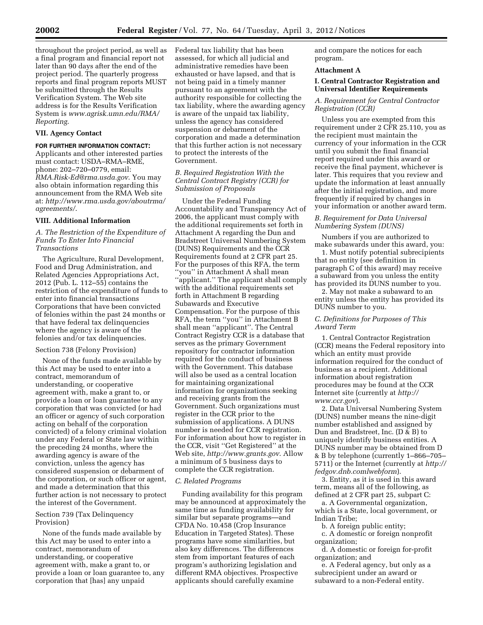throughout the project period, as well as a final program and financial report not later than 90 days after the end of the project period. The quarterly progress reports and final program reports MUST be submitted through the Results Verification System. The Web site address is for the Results Verification System is *[www.agrisk.umn.edu/RMA/](http://www.agrisk.umn.edu/RMA/Reporting) [Reporting](http://www.agrisk.umn.edu/RMA/Reporting)*.

# **VII. Agency Contact**

# **FOR FURTHER INFORMATION CONTACT:**

Applicants and other interested parties must contact: USDA–RMA–RME, phone: 202–720–0779, email: *[RMA.Risk-Ed@rma.usda.gov](mailto:RMA.Risk-Ed@rma.usda.gov)*. You may also obtain information regarding this announcement from the RMA Web site at: *[http://www.rma.usda.gov/aboutrma/](http://www.rma.usda.gov/aboutrma/agreements/)  [agreements/](http://www.rma.usda.gov/aboutrma/agreements/)*.

#### **VIII. Additional Information**

# *A. The Restriction of the Expenditure of Funds To Enter Into Financial Transactions*

The Agriculture, Rural Development, Food and Drug Administration, and Related Agencies Appropriations Act, 2012 (Pub. L. 112–55) contains the restriction of the expenditure of funds to enter into financial transactions Corporations that have been convicted of felonies within the past 24 months or that have federal tax delinquencies where the agency is aware of the felonies and/or tax delinquencies.

#### Section 738 (Felony Provision)

None of the funds made available by this Act may be used to enter into a contract, memorandum of understanding, or cooperative agreement with, make a grant to, or provide a loan or loan guarantee to any corporation that was convicted (or had an officer or agency of such corporation acting on behalf of the corporation convicted) of a felony criminal violation under any Federal or State law within the preceding 24 months, where the awarding agency is aware of the conviction, unless the agency has considered suspension or debarment of the corporation, or such officer or agent, and made a determination that this further action is not necessary to protect the interest of the Government.

# Section 739 (Tax Delinquency Provision)

None of the funds made available by this Act may be used to enter into a contract, memorandum of understanding, or cooperative agreement with, make a grant to, or provide a loan or loan guarantee to, any corporation that [has] any unpaid

Federal tax liability that has been assessed, for which all judicial and administrative remedies have been exhausted or have lapsed, and that is not being paid in a timely manner pursuant to an agreement with the authority responsible for collecting the tax liability, where the awarding agency is aware of the unpaid tax liability, unless the agency has considered suspension or debarment of the corporation and made a determination that this further action is not necessary to protect the interests of the Government.

# *B. Required Registration With the Central Contract Registry (CCR) for Submission of Proposals*

Under the Federal Funding Accountability and Transparency Act of 2006, the applicant must comply with the additional requirements set forth in Attachment A regarding the Dun and Bradstreet Universal Numbering System (DUNS) Requirements and the CCR Requirements found at 2 CFR part 25. For the purposes of this RFA, the term ''you'' in Attachment A shall mean ''applicant.'' The applicant shall comply with the additional requirements set forth in Attachment B regarding Subawards and Executive Compensation. For the purpose of this RFA, the term ''you'' in Attachment B shall mean ''applicant''. The Central Contract Registry CCR is a database that serves as the primary Government repository for contractor information required for the conduct of business with the Government. This database will also be used as a central location for maintaining organizational information for organizations seeking and receiving grants from the Government. Such organizations must register in the CCR prior to the submission of applications. A DUNS number is needed for CCR registration. For information about how to register in the CCR, visit ''Get Registered'' at the Web site, *<http://www.grants.gov>*. Allow a minimum of 5 business days to complete the CCR registration.

#### *C. Related Programs*

Funding availability for this program may be announced at approximately the same time as funding availability for similar but separate programs—and CFDA No. 10.458 (Crop Insurance Education in Targeted States). These programs have some similarities, but also key differences. The differences stem from important features of each program's authorizing legislation and different RMA objectives. Prospective applicants should carefully examine

and compare the notices for each program.

# **Attachment A**

# **I. Central Contractor Registration and Universal Identifier Requirements**

# *A. Requirement for Central Contractor Registration (CCR)*

Unless you are exempted from this requirement under 2 CFR 25.110, you as the recipient must maintain the currency of your information in the CCR until you submit the final financial report required under this award or receive the final payment, whichever is later. This requires that you review and update the information at least annually after the initial registration, and more frequently if required by changes in your information or another award term.

# *B. Requirement for Data Universal Numbering System (DUNS)*

Numbers if you are authorized to make subawards under this award, you:

1. Must notify potential subrecipients that no entity (see definition in paragraph C of this award) may receive a subaward from you unless the entity has provided its DUNS number to you.

2. May not make a subaward to an entity unless the entity has provided its DUNS number to you.

# *C. Definitions for Purposes of This Award Term*

1. Central Contractor Registration (CCR) means the Federal repository into which an entity must provide information required for the conduct of business as a recipient. Additional information about registration procedures may be found at the CCR Internet site (currently at *[http://](http://www.ccr.gov)  [www.ccr.gov](http://www.ccr.gov)*).

2. Data Universal Numbering System (DUNS) number means the nine-digit number established and assigned by Dun and Bradstreet, Inc. (D & B) to uniquely identify business entities. A DUNS number may be obtained from D & B by telephone (currently 1–866–705– 5711) or the Internet (currently at *[http://](http://fedgov.dnb.comlwebform)  [fedgov.dnb.comlwebform](http://fedgov.dnb.comlwebform)*).

3. Entity, as it is used in this award term, means all of the following, as defined at 2 CFR part 25, subpart C:

a. A Governmental organization, which is a State, local government, or Indian Tribe;

b. A foreign public entity;

c. A domestic or foreign nonprofit organization;

d. A domestic or foreign for-profit organization; and

e. A Federal agency, but only as a subrecipient under an award or subaward to a non-Federal entity.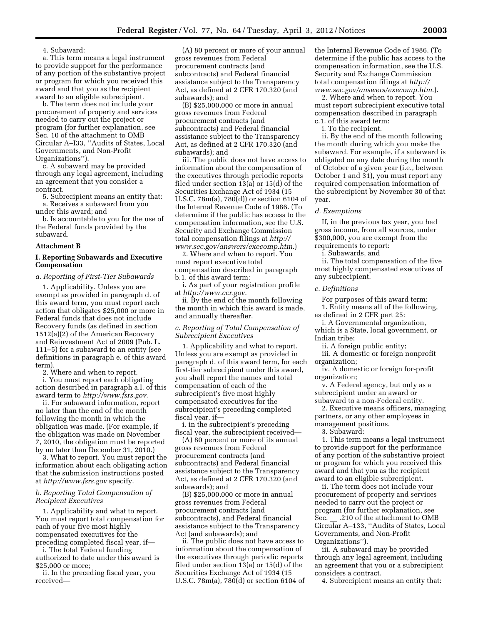4. Subaward:

a. This term means a legal instrument to provide support for the performance of any portion of the substantive project or program for which you received this award and that you as the recipient award to an eligible subrecipient.

b. The term does not include your procurement of property and services needed to carry out the project or program (for further explanation, see Sec. 10 of the attachment to OMB Circular A–I33, ''Audits of States, Local Governments, and Non-Profit Organizations'').

c. A subaward may be provided through any legal agreement, including an agreement that you consider a contract.

5. Subrecipient means an entity that: a. Receives a subaward from you under this award; and

b. Is accountable to you for the use of the Federal funds provided by the subaward.

#### **Attachment B**

#### **I. Reporting Subawards and Executive Compensation**

#### *a. Reporting of First-Tier Subawards*

1. Applicability. Unless you are exempt as provided in paragraph d. of this award term, you must report each action that obligates \$25,000 or more in Federal funds that does not include Recovery funds (as defined in section 1512(a)(2) of the American Recovery and Reinvestment Act of 2009 (Pub. L. 111–5) for a subaward to an entity (see definitions in paragraph e. of this award term).

2. Where and when to report.

i. You must report each obligating action described in paragraph a.I. of this award term to *<http://www.fsrs.gov>*.

ii. For subaward information, report no later than the end of the month following the month in which the obligation was made. (For example, if the obligation was made on November 7, 2010, the obligation must be reported by no later than December 31, 2010.)

3. What to report. You must report the information about each obligating action that the submission instructions posted at *<http://www.fsrs.gov>*specify.

# *b. Reporting Total Compensation of Recipient Executives*

1. Applicability and what to report. You must report total compensation for each of your five most highly compensated executives for the preceding completed fiscal year, if—

i. The total Federal funding authorized to date under this award is \$25,000 or more;

ii. In the preceding fiscal year, you received—

(A) 80 percent or more of your annual gross revenues from Federal procurement contracts (and subcontracts) and Federal financial assistance subject to the Transparency Act, as defined at 2 CFR 170.320 (and subawards); and

(B) \$25,000,000 or more in annual gross revenues from Federal procurement contracts (and subcontracts) and Federal financial assistance subject to the Transparency Act, as defined at 2 CFR 170.320 (and subawards); and

iii. The public does not have access to information about the compensation of the executives through periodic reports filed under section 13(a) or 15(d) of the Securities Exchange Act of 1934 (15 U.S.C. 78m(a), 780(d)) or section 6104 of the Internal Revenue Code of 1986. (To determine if the public has access to the compensation information, see the U.S. Security and Exchange Commission total compensation filings at *[http://](http://www.sec.gov/answers/execomp.htm) [www.sec.gov/answers/execomp.htm](http://www.sec.gov/answers/execomp.htm)*.)

2. Where and when to report. You must report executive total compensation described in paragraph b.1. of this award term:

i. As part of your registration profile at *<http://www.ccr.gov>*.

ii. By the end of the month following the month in which this award is made, and annually thereafter.

# *c. Reporting of Total Compensation of Subrecipient Executives*

1. Applicability and what to report. Unless you are exempt as provided in paragraph d. of this award term, for each first-tier subrecipient under this award, you shall report the names and total compensation of each of the subrecipient's five most highly compensated executives for the subrecipient's preceding completed fiscal year, if—

i. in the subrecipient's preceding fiscal year, the subrecipient received—

(A) 80 percent or more of its annual gross revenues from Federal procurement contracts (and subcontracts) and Federal financial assistance subject to the Transparency Act, as defined at 2 CFR 170.320 (and subawards); and

(B) \$25,000,000 or more in annual gross revenues from Federal procurement contracts (and subcontracts), and Federal financial assistance subject to the Transparency Act (and subawards); and

ii. The public does not have access to information about the compensation of the executives through periodic reports filed under section 13(a) or 15(d) of the Securities Exchange Act of 1934 (15 U.S.C. 78m(a), 780(d) or section 6104 of the Internal Revenue Code of 1986. (To determine if the public has access to the compensation information, see the U.S. Security and Exchange Commission total compensation filings at *[http://](http://www.sec.gov/answers/execomp.htm) [www.sec.gov/answers/execomp.htm](http://www.sec.gov/answers/execomp.htm)*.).

2. Where and when to report. You must report subrecipient executive total compensation described in paragraph c.1. of this award term:

i. To the recipient.

ii. By the end of the month following the month during which you make the subaward. For example, if a subaward is obligated on any date during the month of October of a given year (i.e., between October 1 and 31), you must report any required compensation information of the subrecipient by November 30 of that year.

#### *d. Exemptions*

If, in the previous tax year, you had gross income, from all sources, under \$300,000, you are exempt from the requirements to report:

i. Subawards, and

ii. The total compensation of the five most highly compensated executives of any subrecipient.

#### *e. Definitions*

For purposes of this award term: 1. Entity means all of the following,

as defined in 2 CFR part 25: i. A Governmental organization,

which is a State, local government, or Indian tribe;

ii. A foreign public entity;

iii. A domestic or foreign nonprofit organization;

iv. A domestic or foreign for-profit organization;

v. A Federal agency, but only as a subrecipient under an award or subaward to a non-Federal entity.

2. Executive means officers, managing partners, or any other employees in management positions.

3. Subaward:

1. This term means a legal instrument to provide support for the performance of any portion of the substantive project or program for which you received this award and that you as the recipient award to an eligible subrecipient.

ii. The term does not include your procurement of property and services needed to carry out the project or program (for further explanation, see Sec. \_\_ .210 of the attachment to OMB<br>Circular A–133, ''Audits of States, Local Governments, and Non-Profit Organizations'').

iii. A subaward may be provided through any legal agreement, including an agreement that you or a subrecipient considers a contract.

4. Subrecipient means an entity that: